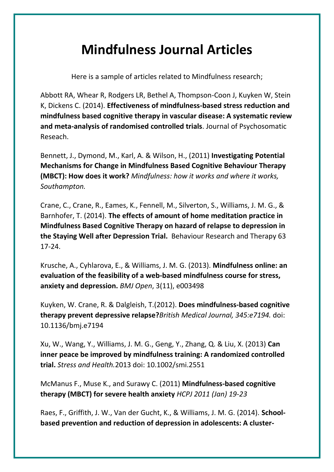## **Mindfulness Journal Articles**

Here is a sample of articles related to Mindfulness research;

Abbott RA, Whear R, Rodgers LR, Bethel A, Thompson-Coon J, Kuyken W, Stein K, Dickens C. (2014). **Effectiveness of mindfulness-based stress reduction and mindfulness based cognitive therapy in vascular disease: A systematic review and meta-analysis of randomised controlled trials**. Journal of Psychosomatic Reseach.

Bennett, J., Dymond, M., Karl, A. & Wilson, H., (2011) **Investigating Potential Mechanisms for Change in Mindfulness Based Cognitive Behaviour Therapy (MBCT): How does it work?** *Mindfulness: how it works and where it works, Southampton.*

Crane, C., Crane, R., Eames, K., Fennell, M., Silverton, S., Williams, J. M. G., & Barnhofer, T. (2014). **The effects of amount of home meditation practice in Mindfulness Based Cognitive Therapy on hazard of relapse to depression in the Staying Well after Depression Trial.** Behaviour Research and Therapy 63 17-24.

Krusche, A., Cyhlarova, E., & Williams, J. M. G. (2013). **Mindfulness online: an evaluation of the feasibility of a web-based mindfulness course for stress, anxiety and depression.** *BMJ Open*, 3(11), e003498

Kuyken, W. Crane, R. & Dalgleish, T.(2012). **Does mindfulness-based cognitive therapy prevent depressive relapse?***British Medical Journal, 345:e7194.* doi: 10.1136/bmj.e7194

Xu, W., Wang, Y., Williams, J. M. G., Geng, Y., Zhang, Q. & Liu, X. (2013) **Can inner peace be improved by mindfulness training: A randomized controlled trial.** *Stress and Health.*2013 doi: 10.1002/smi.2551

McManus F., Muse K., and Surawy C. (2011) **Mindfulness-based cognitive therapy (MBCT) for severe health anxiety** *HCPJ 2011 (Jan) 19-23*

Raes, F., Griffith, J. W., Van der Gucht, K., & Williams, J. M. G. (2014). **Schoolbased prevention and reduction of depression in adolescents: A cluster-**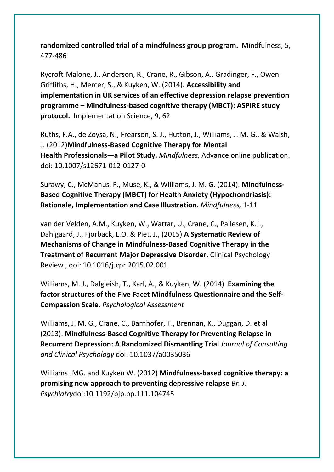**randomized controlled trial of a mindfulness group program.** Mindfulness, 5, 477-486

Rycroft-Malone, J., Anderson, R., Crane, R., Gibson, A., Gradinger, F., Owen-Griffiths, H., Mercer, S., & Kuyken, W. (2014). **Accessibility and implementation in UK services of an effective depression relapse prevention programme – Mindfulness-based cognitive therapy (MBCT): ASPIRE study protocol.** Implementation Science, 9, 62

Ruths, F.A., de Zoysa, N., Frearson, S. J., Hutton, J., Williams, J. M. G., & Walsh, J. (2012)**Mindfulness-Based Cognitive Therapy for Mental Health Professionals—a Pilot Study.** *Mindfulness.* Advance online publication. doi: 10.1007/s12671-012-0127-0

Surawy, C., McManus, F., Muse, K., & Williams, J. M. G. (2014). **Mindfulness-Based Cognitive Therapy (MBCT) for Health Anxiety (Hypochondriasis): Rationale, Implementation and Case Illustration.** *Mindfulness,* 1-11

van der Velden, A.M., Kuyken, W., Wattar, U., Crane, C., Pallesen, K.J., Dahlgaard, J., Fjorback, L.O. & Piet, J., (2015) **A Systematic Review of Mechanisms of Change in Mindfulness-Based Cognitive Therapy in the Treatment of Recurrent Major Depressive Disorder**, Clinical Psychology Review , doi: 10.1016/j.cpr.2015.02.001

Williams, M. J., Dalgleish, T., Karl, A., & Kuyken, W. (2014) **Examining the factor structures of the Five Facet Mindfulness Questionnaire and the Self-Compassion Scale.** *Psychological Assessment*

Williams, J. M. G., Crane, C., Barnhofer, T., Brennan, K., Duggan, D. et al (2013). **Mindfulness-Based Cognitive Therapy for Preventing Relapse in Recurrent Depression: A Randomized Dismantling Trial** *Journal of Consulting and Clinical Psychology* doi: 10.1037/a0035036

Williams JMG. and Kuyken W. (2012) **Mindfulness-based cognitive therapy: a promising new approach to preventing depressive relapse** *Br. J. Psychiatry*doi:10.1192/bjp.bp.111.104745